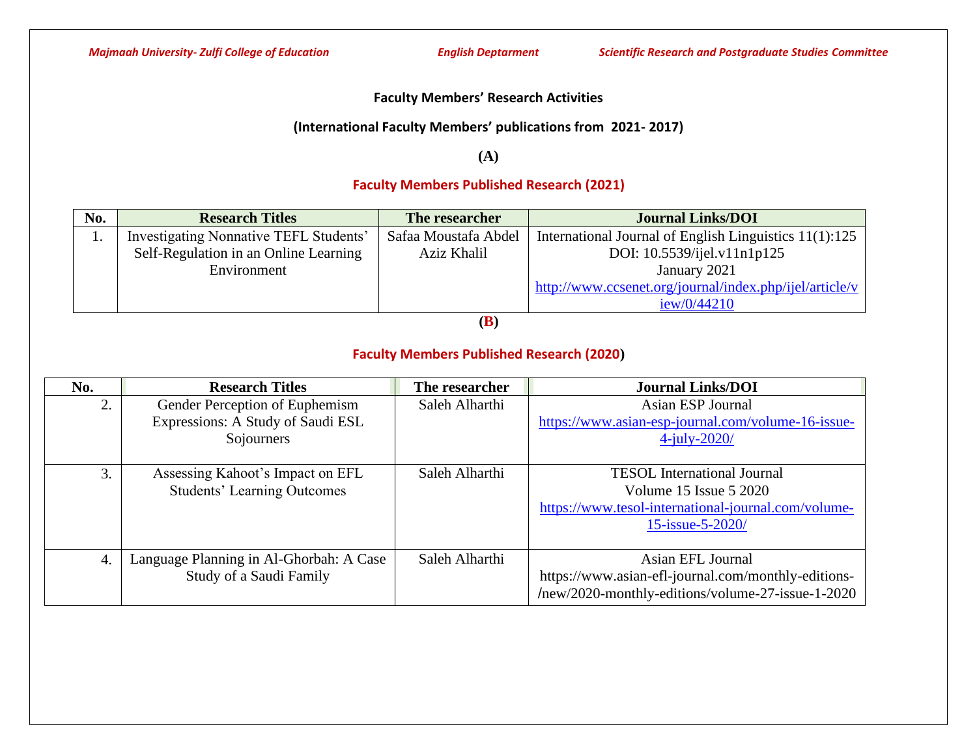### **Faculty Members' Research Activities**

### **(International Faculty Members' publications from 2021- 2017)**

**(A)**

# **Faculty Members Published Research (2021)**

| No. | <b>Research Titles</b>                 | The researcher       | <b>Journal Links/DOI</b>                                |
|-----|----------------------------------------|----------------------|---------------------------------------------------------|
| .,  | Investigating Nonnative TEFL Students' | Safaa Moustafa Abdel | International Journal of English Linguistics 11(1):125  |
|     | Self-Regulation in an Online Learning  | Aziz Khalil          | DOI: 10.5539/ijel.v11n1p125                             |
|     | Environment                            |                      | January 2021                                            |
|     |                                        |                      | http://www.ccsenet.org/journal/index.php/ijel/article/v |
|     |                                        |                      | iew/0/44210                                             |

**(B)**

## **Faculty Members Published Research (2020)**

| No.              | <b>Research Titles</b>                  | The researcher | <b>Journal Links/DOI</b>                            |
|------------------|-----------------------------------------|----------------|-----------------------------------------------------|
| 2.               | Gender Perception of Euphemism          | Saleh Alharthi | Asian ESP Journal                                   |
|                  | Expressions: A Study of Saudi ESL       |                | https://www.asian-esp-journal.com/volume-16-issue-  |
|                  | Sojourners                              |                | $4$ -july-2020/                                     |
|                  |                                         |                |                                                     |
| 3.               | Assessing Kahoot's Impact on EFL        | Saleh Alharthi | <b>TESOL</b> International Journal                  |
|                  | <b>Students' Learning Outcomes</b>      |                | Volume 15 Issue 5 2020                              |
|                  |                                         |                | https://www.tesol-international-journal.com/volume- |
|                  |                                         |                | 15-issue-5-2020/                                    |
|                  |                                         |                |                                                     |
| $\overline{4}$ . | Language Planning in Al-Ghorbah: A Case | Saleh Alharthi | Asian EFL Journal                                   |
|                  | Study of a Saudi Family                 |                | https://www.asian-efl-journal.com/monthly-editions- |
|                  |                                         |                | /new/2020-monthly-editions/volume-27-issue-1-2020   |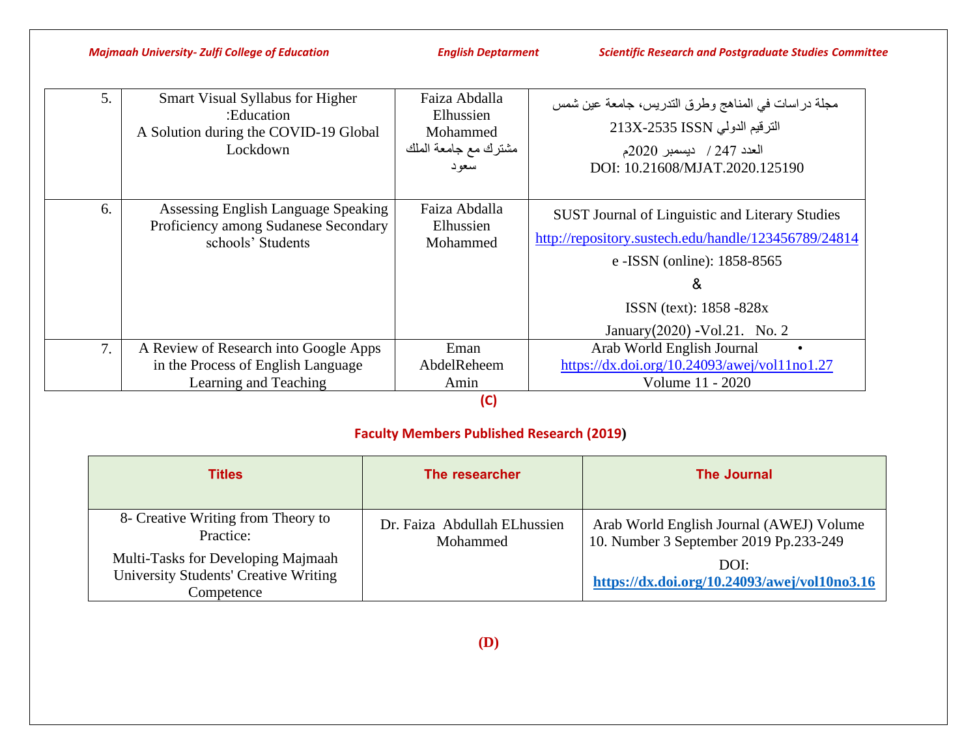*Majmaah University- Zulfi College of Education English Deptarment Scientific Research and Postgraduate Studies Committee*

| 5. | Smart Visual Syllabus for Higher<br>:Education<br>A Solution during the COVID-19 Global<br>Lockdown  | Faiza Abdalla<br>Elhussien<br>Mohammed<br>مشترك مع جامعة الملك<br>سعود | مجلَّة دراسات في المناهج وطرق التدريس، جامعة عين شمس<br>الترقيم الدولي 213X-2535 ISSN<br>العدد 247 / ديسمبر 2020م<br>DOI: 10.21608/MJAT.2020.125190                                                                         |
|----|------------------------------------------------------------------------------------------------------|------------------------------------------------------------------------|-----------------------------------------------------------------------------------------------------------------------------------------------------------------------------------------------------------------------------|
| 6. | Assessing English Language Speaking<br>Proficiency among Sudanese Secondary<br>schools' Students     | Faiza Abdalla<br>Elhussien<br>Mohammed                                 | <b>SUST Journal of Linguistic and Literary Studies</b><br>http://repository.sustech.edu/handle/123456789/24814<br>e - ISSN (online): 1858-8565<br>&<br><b>ISSN</b> (text): $1858 - 828x$<br>January $(2020)$ -Vol.21. No. 2 |
| 7. | A Review of Research into Google Apps<br>in the Process of English Language<br>Learning and Teaching | Eman<br>AbdelReheem<br>Amin                                            | Arab World English Journal<br>$\bullet$<br>https://dx.doi.org/10.24093/awej/vol11no1.27<br>Volume 11 - 2020                                                                                                                 |

**(C)**

# **Faculty Members Published Research (2019)**

| <b>Titles</b>                                                                                    | The researcher                           | The Journal                                                                        |
|--------------------------------------------------------------------------------------------------|------------------------------------------|------------------------------------------------------------------------------------|
| 8- Creative Writing from Theory to<br>Practice:                                                  | Dr. Faiza Abdullah ELhussien<br>Mohammed | Arab World English Journal (AWEJ) Volume<br>10. Number 3 September 2019 Pp.233-249 |
| Multi-Tasks for Developing Majmaah<br><b>University Students' Creative Writing</b><br>Competence |                                          | DOI:<br>https://dx.doi.org/10.24093/awej/vol10no3.16                               |

**(D)**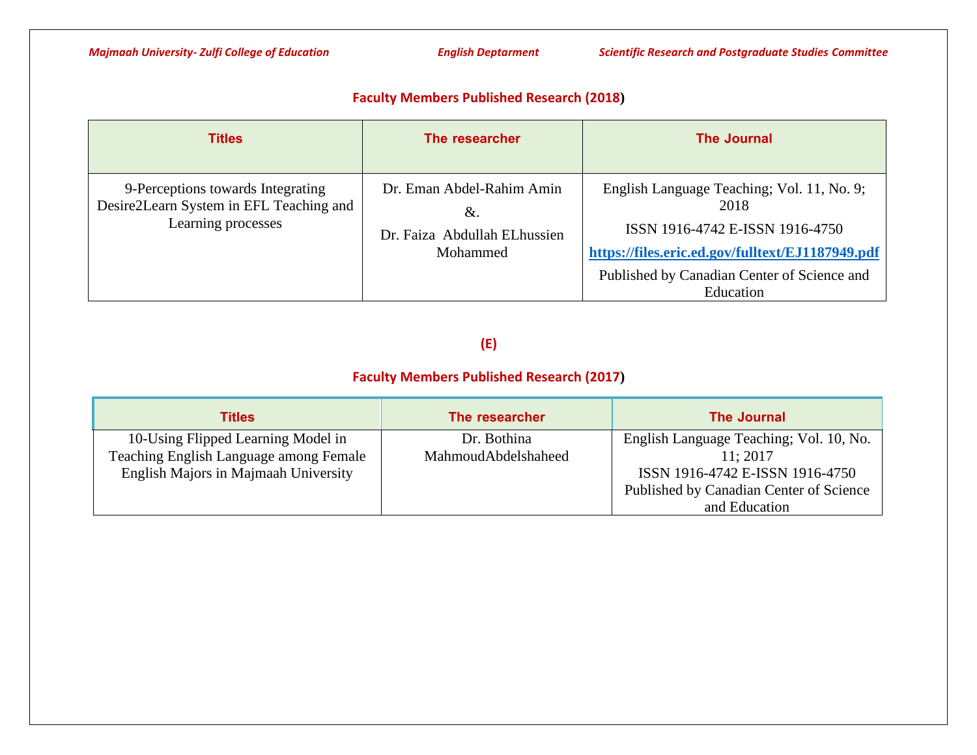### **Faculty Members Published Research (2018)**

| <b>Titles</b>                                                                                      | The researcher                                                              | <b>The Journal</b>                                                                                                                                                                                    |
|----------------------------------------------------------------------------------------------------|-----------------------------------------------------------------------------|-------------------------------------------------------------------------------------------------------------------------------------------------------------------------------------------------------|
| 9-Perceptions towards Integrating<br>Desire2Learn System in EFL Teaching and<br>Learning processes | Dr. Eman Abdel-Rahim Amin<br>&.<br>Dr. Faiza Abdullah ELhussien<br>Mohammed | English Language Teaching; Vol. 11, No. 9;<br>2018<br>ISSN 1916-4742 E-ISSN 1916-4750<br>https://files.eric.ed.gov/fulltext/EJ1187949.pdf<br>Published by Canadian Center of Science and<br>Education |

# **(E)**

## **Faculty Members Published Research (2017)**

| <b>Titles</b>                          | The researcher      | The Journal                             |
|----------------------------------------|---------------------|-----------------------------------------|
| 10-Using Flipped Learning Model in     | Dr. Bothina         | English Language Teaching; Vol. 10, No. |
| Teaching English Language among Female | MahmoudAbdelshaheed | 11:2017                                 |
| English Majors in Majmaah University   |                     | ISSN 1916-4742 E-ISSN 1916-4750         |
|                                        |                     | Published by Canadian Center of Science |
|                                        |                     | and Education                           |